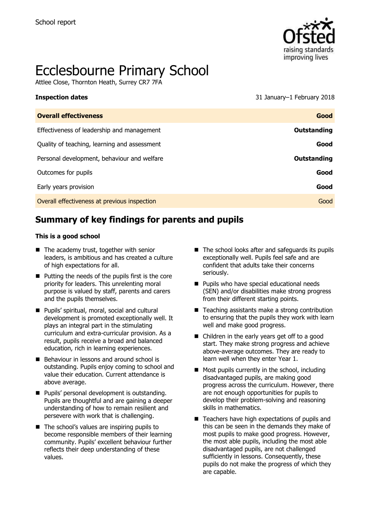

# Ecclesbourne Primary School

Attlee Close, Thornton Heath, Surrey CR7 7FA

**Inspection dates** 31 January–1 February 2018

| <b>Overall effectiveness</b>                 | Good               |
|----------------------------------------------|--------------------|
| Effectiveness of leadership and management   | <b>Outstanding</b> |
| Quality of teaching, learning and assessment | Good               |
| Personal development, behaviour and welfare  | Outstanding        |
| Outcomes for pupils                          | Good               |
| Early years provision                        | Good               |
| Overall effectiveness at previous inspection | Good               |
|                                              |                    |

# **Summary of key findings for parents and pupils**

#### **This is a good school**

- The academy trust, together with senior leaders, is ambitious and has created a culture of high expectations for all.
- $\blacksquare$  Putting the needs of the pupils first is the core priority for leaders. This unrelenting moral purpose is valued by staff, parents and carers and the pupils themselves.
- **Pupils' spiritual, moral, social and cultural** development is promoted exceptionally well. It plays an integral part in the stimulating curriculum and extra-curricular provision. As a result, pupils receive a broad and balanced education, rich in learning experiences.
- Behaviour in lessons and around school is outstanding. Pupils enjoy coming to school and value their education. Current attendance is above average.
- **Pupils' personal development is outstanding.** Pupils are thoughtful and are gaining a deeper understanding of how to remain resilient and persevere with work that is challenging.
- $\blacksquare$  The school's values are inspiring pupils to become responsible members of their learning community. Pupils' excellent behaviour further reflects their deep understanding of these values.
- The school looks after and safeguards its pupils exceptionally well. Pupils feel safe and are confident that adults take their concerns seriously.
- **Pupils who have special educational needs** (SEN) and/or disabilities make strong progress from their different starting points.
- $\blacksquare$  Teaching assistants make a strong contribution to ensuring that the pupils they work with learn well and make good progress.
- Children in the early years get off to a good start. They make strong progress and achieve above-average outcomes. They are ready to learn well when they enter Year 1.
- $\blacksquare$  Most pupils currently in the school, including disadvantaged pupils, are making good progress across the curriculum. However, there are not enough opportunities for pupils to develop their problem-solving and reasoning skills in mathematics.
- Teachers have high expectations of pupils and this can be seen in the demands they make of most pupils to make good progress. However, the most able pupils, including the most able disadvantaged pupils, are not challenged sufficiently in lessons. Consequently, these pupils do not make the progress of which they are capable.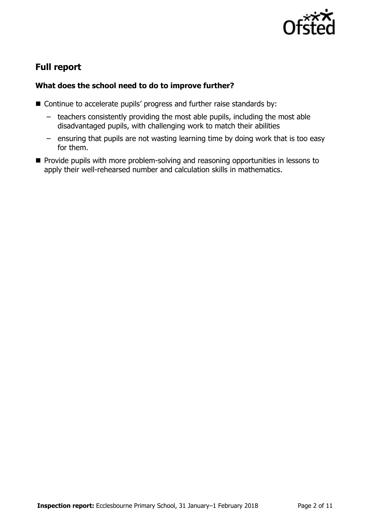

# **Full report**

### **What does the school need to do to improve further?**

- Continue to accelerate pupils' progress and further raise standards by:
	- teachers consistently providing the most able pupils, including the most able disadvantaged pupils, with challenging work to match their abilities
	- ensuring that pupils are not wasting learning time by doing work that is too easy for them.
- **Provide pupils with more problem-solving and reasoning opportunities in lessons to** apply their well-rehearsed number and calculation skills in mathematics.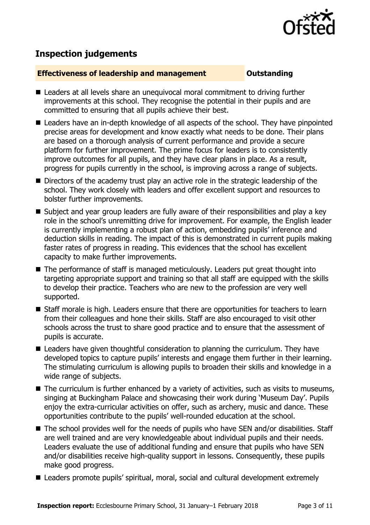

## **Inspection judgements**

#### **Effectiveness of leadership and management Constanding**

- Leaders at all levels share an unequivocal moral commitment to driving further improvements at this school. They recognise the potential in their pupils and are committed to ensuring that all pupils achieve their best.
- Leaders have an in-depth knowledge of all aspects of the school. They have pinpointed precise areas for development and know exactly what needs to be done. Their plans are based on a thorough analysis of current performance and provide a secure platform for further improvement. The prime focus for leaders is to consistently improve outcomes for all pupils, and they have clear plans in place. As a result, progress for pupils currently in the school, is improving across a range of subjects.
- Directors of the academy trust play an active role in the strategic leadership of the school. They work closely with leaders and offer excellent support and resources to bolster further improvements.
- Subject and year group leaders are fully aware of their responsibilities and play a key role in the school's unremitting drive for improvement. For example, the English leader is currently implementing a robust plan of action, embedding pupils' inference and deduction skills in reading. The impact of this is demonstrated in current pupils making faster rates of progress in reading. This evidences that the school has excellent capacity to make further improvements.
- The performance of staff is managed meticulously. Leaders put great thought into targeting appropriate support and training so that all staff are equipped with the skills to develop their practice. Teachers who are new to the profession are very well supported.
- Staff morale is high. Leaders ensure that there are opportunities for teachers to learn from their colleagues and hone their skills. Staff are also encouraged to visit other schools across the trust to share good practice and to ensure that the assessment of pupils is accurate.
- Leaders have given thoughtful consideration to planning the curriculum. They have developed topics to capture pupils' interests and engage them further in their learning. The stimulating curriculum is allowing pupils to broaden their skills and knowledge in a wide range of subjects.
- The curriculum is further enhanced by a variety of activities, such as visits to museums, singing at Buckingham Palace and showcasing their work during 'Museum Day'. Pupils enjoy the extra-curricular activities on offer, such as archery, music and dance. These opportunities contribute to the pupils' well-rounded education at the school.
- The school provides well for the needs of pupils who have SEN and/or disabilities. Staff are well trained and are very knowledgeable about individual pupils and their needs. Leaders evaluate the use of additional funding and ensure that pupils who have SEN and/or disabilities receive high-quality support in lessons. Consequently, these pupils make good progress.
- Leaders promote pupils' spiritual, moral, social and cultural development extremely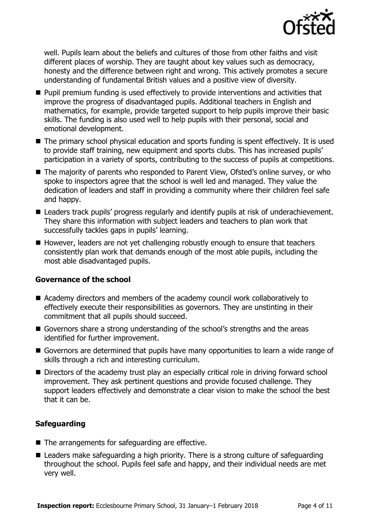

well. Pupils learn about the beliefs and cultures of those from other faiths and visit different places of worship. They are taught about key values such as democracy, honesty and the difference between right and wrong. This actively promotes a secure understanding of fundamental British values and a positive view of diversity.

- **Pupil premium funding is used effectively to provide interventions and activities that** improve the progress of disadvantaged pupils. Additional teachers in English and mathematics, for example, provide targeted support to help pupils improve their basic skills. The funding is also used well to help pupils with their personal, social and emotional development.
- The primary school physical education and sports funding is spent effectively. It is used to provide staff training, new equipment and sports clubs. This has increased pupils' participation in a variety of sports, contributing to the success of pupils at competitions.
- The majority of parents who responded to Parent View, Ofsted's online survey, or who spoke to inspectors agree that the school is well led and managed. They value the dedication of leaders and staff in providing a community where their children feel safe and happy.
- Leaders track pupils' progress regularly and identify pupils at risk of underachievement. They share this information with subject leaders and teachers to plan work that successfully tackles gaps in pupils' learning.
- However, leaders are not yet challenging robustly enough to ensure that teachers consistently plan work that demands enough of the most able pupils, including the most able disadvantaged pupils.

### **Governance of the school**

- Academy directors and members of the academy council work collaboratively to effectively execute their responsibilities as governors. They are unstinting in their commitment that all pupils should succeed.
- Governors share a strong understanding of the school's strengths and the areas identified for further improvement.
- Governors are determined that pupils have many opportunities to learn a wide range of skills through a rich and interesting curriculum.
- Directors of the academy trust play an especially critical role in driving forward school improvement. They ask pertinent questions and provide focused challenge. They support leaders effectively and demonstrate a clear vision to make the school the best that it can be.

### **Safeguarding**

- $\blacksquare$  The arrangements for safeguarding are effective.
- Leaders make safeguarding a high priority. There is a strong culture of safeguarding throughout the school. Pupils feel safe and happy, and their individual needs are met very well.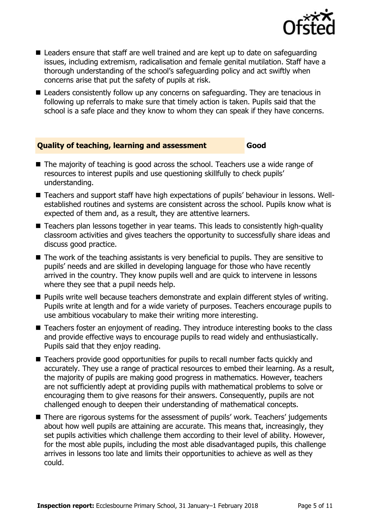

- Leaders ensure that staff are well trained and are kept up to date on safeguarding issues, including extremism, radicalisation and female genital mutilation. Staff have a thorough understanding of the school's safeguarding policy and act swiftly when concerns arise that put the safety of pupils at risk.
- Leaders consistently follow up any concerns on safeguarding. They are tenacious in following up referrals to make sure that timely action is taken. Pupils said that the school is a safe place and they know to whom they can speak if they have concerns.

#### **Quality of teaching, learning and assessment Good**

- The majority of teaching is good across the school. Teachers use a wide range of resources to interest pupils and use questioning skillfully to check pupils' understanding.
- Teachers and support staff have high expectations of pupils' behaviour in lessons. Wellestablished routines and systems are consistent across the school. Pupils know what is expected of them and, as a result, they are attentive learners.
- Teachers plan lessons together in year teams. This leads to consistently high-quality classroom activities and gives teachers the opportunity to successfully share ideas and discuss good practice.
- The work of the teaching assistants is very beneficial to pupils. They are sensitive to pupils' needs and are skilled in developing language for those who have recently arrived in the country. They know pupils well and are quick to intervene in lessons where they see that a pupil needs help.
- **Pupils write well because teachers demonstrate and explain different styles of writing.** Pupils write at length and for a wide variety of purposes. Teachers encourage pupils to use ambitious vocabulary to make their writing more interesting.
- Teachers foster an enjoyment of reading. They introduce interesting books to the class and provide effective ways to encourage pupils to read widely and enthusiastically. Pupils said that they enjoy reading.
- Teachers provide good opportunities for pupils to recall number facts quickly and accurately. They use a range of practical resources to embed their learning. As a result, the majority of pupils are making good progress in mathematics. However, teachers are not sufficiently adept at providing pupils with mathematical problems to solve or encouraging them to give reasons for their answers. Consequently, pupils are not challenged enough to deepen their understanding of mathematical concepts.
- There are rigorous systems for the assessment of pupils' work. Teachers' judgements about how well pupils are attaining are accurate. This means that, increasingly, they set pupils activities which challenge them according to their level of ability. However, for the most able pupils, including the most able disadvantaged pupils, this challenge arrives in lessons too late and limits their opportunities to achieve as well as they could.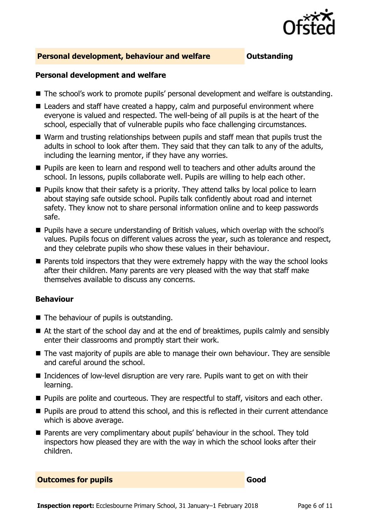

#### **Personal development, behaviour and welfare <b>COUTS** Outstanding

#### **Personal development and welfare**

- The school's work to promote pupils' personal development and welfare is outstanding.
- Leaders and staff have created a happy, calm and purposeful environment where everyone is valued and respected. The well-being of all pupils is at the heart of the school, especially that of vulnerable pupils who face challenging circumstances.
- Warm and trusting relationships between pupils and staff mean that pupils trust the adults in school to look after them. They said that they can talk to any of the adults, including the learning mentor, if they have any worries.
- **Pupils are keen to learn and respond well to teachers and other adults around the** school. In lessons, pupils collaborate well. Pupils are willing to help each other.
- **Pupils know that their safety is a priority. They attend talks by local police to learn** about staying safe outside school. Pupils talk confidently about road and internet safety. They know not to share personal information online and to keep passwords safe.
- **Pupils have a secure understanding of British values, which overlap with the school's** values. Pupils focus on different values across the year, such as tolerance and respect, and they celebrate pupils who show these values in their behaviour.
- **Parents told inspectors that they were extremely happy with the way the school looks** after their children. Many parents are very pleased with the way that staff make themselves available to discuss any concerns.

#### **Behaviour**

- The behaviour of pupils is outstanding.
- At the start of the school day and at the end of breaktimes, pupils calmly and sensibly enter their classrooms and promptly start their work.
- The vast majority of pupils are able to manage their own behaviour. They are sensible and careful around the school.
- Incidences of low-level disruption are very rare. Pupils want to get on with their learning.
- **Pupils are polite and courteous. They are respectful to staff, visitors and each other.**
- **Pupils are proud to attend this school, and this is reflected in their current attendance** which is above average.
- Parents are very complimentary about pupils' behaviour in the school. They told inspectors how pleased they are with the way in which the school looks after their children.

#### **Outcomes for pupils Good**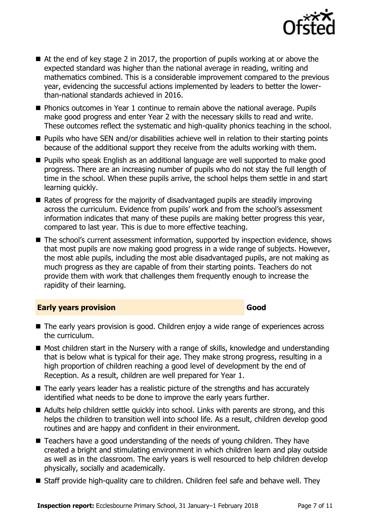

- $\blacksquare$  At the end of key stage 2 in 2017, the proportion of pupils working at or above the expected standard was higher than the national average in reading, writing and mathematics combined. This is a considerable improvement compared to the previous year, evidencing the successful actions implemented by leaders to better the lowerthan-national standards achieved in 2016.
- **Phonics outcomes in Year 1 continue to remain above the national average. Pupils** make good progress and enter Year 2 with the necessary skills to read and write. These outcomes reflect the systematic and high-quality phonics teaching in the school.
- **Pupils who have SEN and/or disabilities achieve well in relation to their starting points** because of the additional support they receive from the adults working with them.
- Pupils who speak English as an additional language are well supported to make good progress. There are an increasing number of pupils who do not stay the full length of time in the school. When these pupils arrive, the school helps them settle in and start learning quickly.
- Rates of progress for the majority of disadvantaged pupils are steadily improving across the curriculum. Evidence from pupils' work and from the school's assessment information indicates that many of these pupils are making better progress this year, compared to last year. This is due to more effective teaching.
- The school's current assessment information, supported by inspection evidence, shows that most pupils are now making good progress in a wide range of subjects. However, the most able pupils, including the most able disadvantaged pupils, are not making as much progress as they are capable of from their starting points. Teachers do not provide them with work that challenges them frequently enough to increase the rapidity of their learning.

#### **Early years provision Good Good**

- The early years provision is good. Children enjoy a wide range of experiences across the curriculum.
- Most children start in the Nursery with a range of skills, knowledge and understanding that is below what is typical for their age. They make strong progress, resulting in a high proportion of children reaching a good level of development by the end of Reception. As a result, children are well prepared for Year 1.
- The early years leader has a realistic picture of the strengths and has accurately identified what needs to be done to improve the early years further.
- Adults help children settle quickly into school. Links with parents are strong, and this helps the children to transition well into school life. As a result, children develop good routines and are happy and confident in their environment.
- Teachers have a good understanding of the needs of young children. They have created a bright and stimulating environment in which children learn and play outside as well as in the classroom. The early years is well resourced to help children develop physically, socially and academically.
- Staff provide high-quality care to children. Children feel safe and behave well. They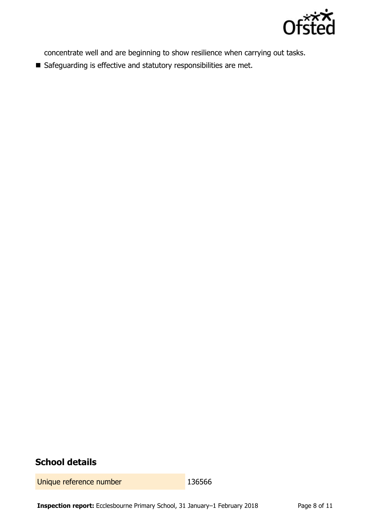

concentrate well and are beginning to show resilience when carrying out tasks.

Safeguarding is effective and statutory responsibilities are met.

# **School details**

Unique reference number 136566

**Inspection report:** Ecclesbourne Primary School, 31 January–1 February 2018 Page 8 of 11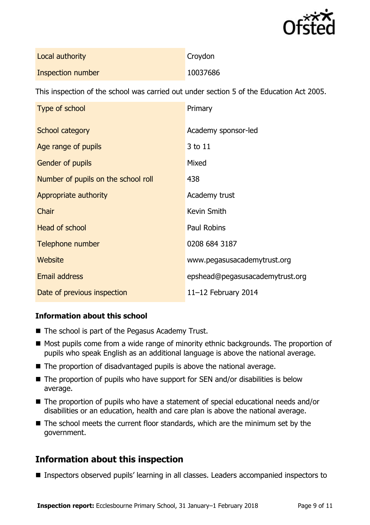

| Local authority   | Croydon  |
|-------------------|----------|
| Inspection number | 10037686 |

This inspection of the school was carried out under section 5 of the Education Act 2005.

| Type of school                      | Primary                         |
|-------------------------------------|---------------------------------|
| School category                     | Academy sponsor-led             |
| Age range of pupils                 | 3 to 11                         |
| <b>Gender of pupils</b>             | Mixed                           |
| Number of pupils on the school roll | 438                             |
| Appropriate authority               | Academy trust                   |
| Chair                               | Kevin Smith                     |
| <b>Head of school</b>               | <b>Paul Robins</b>              |
| Telephone number                    | 0208 684 3187                   |
| Website                             | www.pegasusacademytrust.org     |
| <b>Email address</b>                | epshead@pegasusacademytrust.org |
| Date of previous inspection         | 11 $-12$ February 2014          |

### **Information about this school**

- $\blacksquare$  The school is part of the Pegasus Academy Trust.
- Most pupils come from a wide range of minority ethnic backgrounds. The proportion of pupils who speak English as an additional language is above the national average.
- $\blacksquare$  The proportion of disadvantaged pupils is above the national average.
- $\blacksquare$  The proportion of pupils who have support for SEN and/or disabilities is below average.
- The proportion of pupils who have a statement of special educational needs and/or disabilities or an education, health and care plan is above the national average.
- The school meets the current floor standards, which are the minimum set by the government.

# **Information about this inspection**

■ Inspectors observed pupils' learning in all classes. Leaders accompanied inspectors to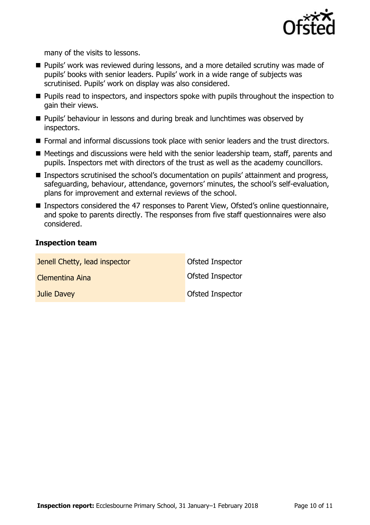

many of the visits to lessons.

- **Pupils' work was reviewed during lessons, and a more detailed scrutiny was made of** pupils' books with senior leaders. Pupils' work in a wide range of subjects was scrutinised. Pupils' work on display was also considered.
- **Pupils read to inspectors, and inspectors spoke with pupils throughout the inspection to** gain their views.
- **Pupils' behaviour in lessons and during break and lunchtimes was observed by** inspectors.
- Formal and informal discussions took place with senior leaders and the trust directors.
- Meetings and discussions were held with the senior leadership team, staff, parents and pupils. Inspectors met with directors of the trust as well as the academy councillors.
- Inspectors scrutinised the school's documentation on pupils' attainment and progress, safeguarding, behaviour, attendance, governors' minutes, the school's self-evaluation, plans for improvement and external reviews of the school.
- Inspectors considered the 47 responses to Parent View, Ofsted's online questionnaire, and spoke to parents directly. The responses from five staff questionnaires were also considered.

### **Inspection team**

| Jenell Chetty, lead inspector | Ofsted Inspector        |
|-------------------------------|-------------------------|
| Clementina Aina               | <b>Ofsted Inspector</b> |
| Julie Davey                   | Ofsted Inspector        |